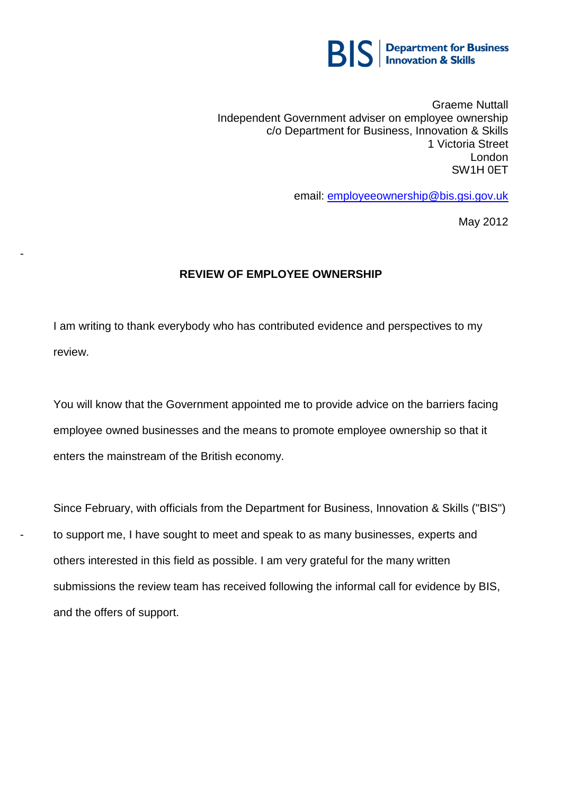

Graeme Nuttall Independent Government adviser on employee ownership c/o Department for Business, Innovation & Skills 1 Victoria Street London SW1H 0ET

email: [employeeownership@bis.gsi.gov.uk](mailto:employeeownership@bis.gsi.gov.uk)

May 2012

## **REVIEW OF EMPLOYEE OWNERSHIP**

-

-

I am writing to thank everybody who has contributed evidence and perspectives to my review.

You will know that the Government appointed me to provide advice on the barriers facing employee owned businesses and the means to promote employee ownership so that it enters the mainstream of the British economy.

Since February, with officials from the Department for Business, Innovation & Skills ("BIS") to support me, I have sought to meet and speak to as many businesses, experts and others interested in this field as possible. I am very grateful for the many written submissions the review team has received following the informal call for evidence by BIS, and the offers of support.